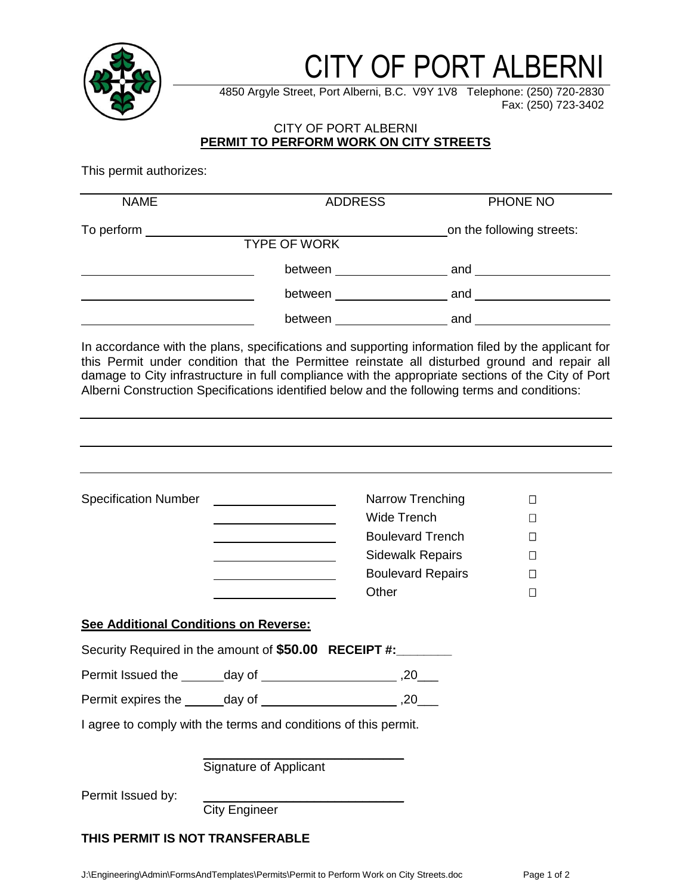

# CITY OF PORT ALBERNI

4850 Argyle Street, Port Alberni, B.C. V9Y 1V8 Telephone: (250) 720-2830 Fax: (250) 723-3402

## CITY OF PORT ALBERNI **PERMIT TO PERFORM WORK ON CITY STREETS**

This permit authorizes:

| This permit authorizes:               |                                                                                                                       |                          |                                                                                                                                                                                                                                                                                                          |
|---------------------------------------|-----------------------------------------------------------------------------------------------------------------------|--------------------------|----------------------------------------------------------------------------------------------------------------------------------------------------------------------------------------------------------------------------------------------------------------------------------------------------------|
| <b>NAME</b>                           | <b>ADDRESS</b>                                                                                                        |                          | PHONE NO                                                                                                                                                                                                                                                                                                 |
| To perform ______________             | <b>TYPE OF WORK</b>                                                                                                   |                          | on the following streets:                                                                                                                                                                                                                                                                                |
|                                       |                                                                                                                       |                          |                                                                                                                                                                                                                                                                                                          |
|                                       |                                                                                                                       |                          | between and and between                                                                                                                                                                                                                                                                                  |
|                                       |                                                                                                                       |                          |                                                                                                                                                                                                                                                                                                          |
|                                       | Alberni Construction Specifications identified below and the following terms and conditions:                          |                          | In accordance with the plans, specifications and supporting information filed by the applicant for<br>this Permit under condition that the Permittee reinstate all disturbed ground and repair all<br>damage to City infrastructure in full compliance with the appropriate sections of the City of Port |
|                                       |                                                                                                                       |                          |                                                                                                                                                                                                                                                                                                          |
| <b>Specification Number</b>           |                                                                                                                       | Narrow Trenching         | $\Box$                                                                                                                                                                                                                                                                                                   |
|                                       |                                                                                                                       | <b>Wide Trench</b>       | $\Box$                                                                                                                                                                                                                                                                                                   |
|                                       | <u> 1989 - Johann Barn, mars ann an t-Amhair an t-Amhair an t-Amhair an t-Amhair an t-Amhair an t-Amhair an t-Amh</u> | <b>Boulevard Trench</b>  | $\Box$                                                                                                                                                                                                                                                                                                   |
|                                       |                                                                                                                       | <b>Sidewalk Repairs</b>  | $\Box$                                                                                                                                                                                                                                                                                                   |
|                                       |                                                                                                                       | <b>Boulevard Repairs</b> | $\Box$                                                                                                                                                                                                                                                                                                   |
|                                       |                                                                                                                       | Other                    | $\Box$                                                                                                                                                                                                                                                                                                   |
| See Additional Conditions on Reverse: |                                                                                                                       |                          |                                                                                                                                                                                                                                                                                                          |
|                                       | Security Required in the amount of \$50.00 RECEIPT #:________                                                         |                          |                                                                                                                                                                                                                                                                                                          |
|                                       |                                                                                                                       |                          |                                                                                                                                                                                                                                                                                                          |
|                                       | Permit expires the ______ day of ____________________________,20____                                                  |                          |                                                                                                                                                                                                                                                                                                          |
|                                       | I agree to comply with the terms and conditions of this permit.                                                       |                          |                                                                                                                                                                                                                                                                                                          |
|                                       | Signature of Applicant                                                                                                |                          |                                                                                                                                                                                                                                                                                                          |
| Permit Issued by:                     | <b>City Engineer</b>                                                                                                  |                          |                                                                                                                                                                                                                                                                                                          |

## **THIS PERMIT IS NOT TRANSFERABLE**